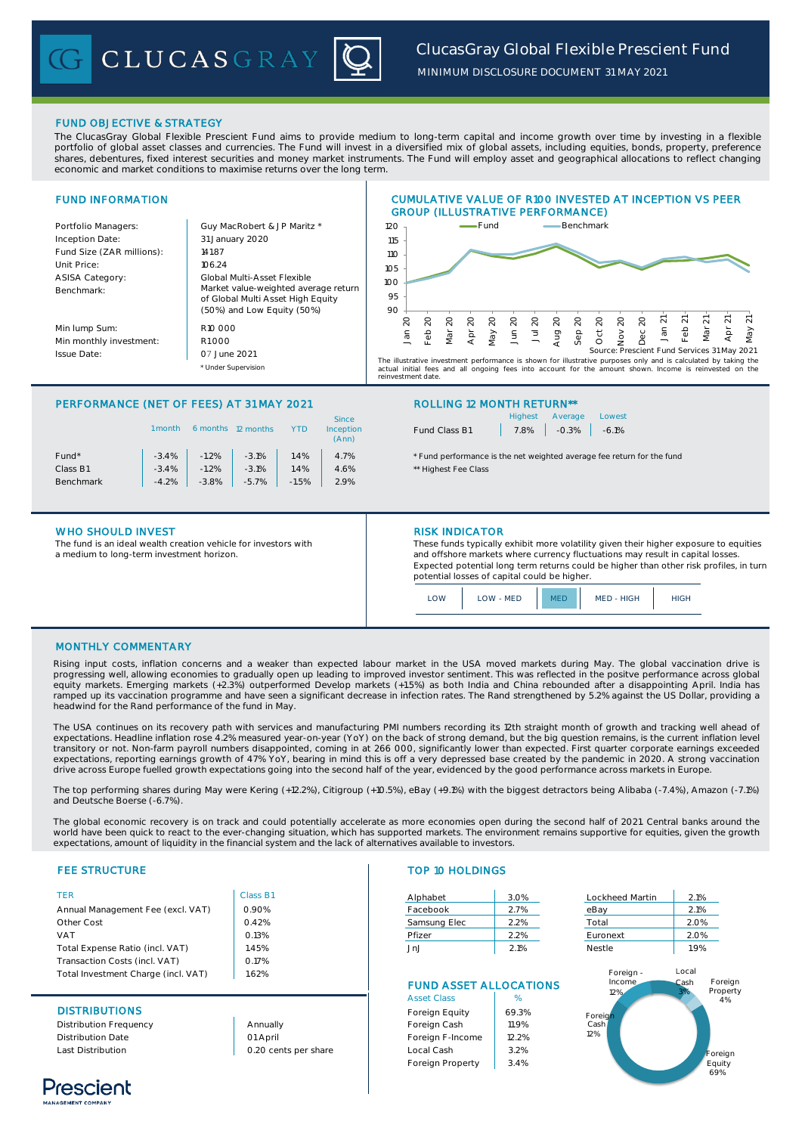

*MINIMUM DISCLOSURE DOCUMENT 31 MAY 2021*

# FUND OBJECTIVE & STRATEGY

The ClucasGray Global Flexible Prescient Fund aims to provide medium to long-term capital and income growth over time by investing in a flexible portfolio of global asset classes and currencies. The Fund will invest in a diversified mix of global assets, including equities, bonds, property, preference shares, debentures, fixed interest securities and money market instruments. The Fund will employ asset and geographical allocations to reflect changing economic and market conditions to maximise returns over the long term.



# PERFORMANCE (NET OF FEES) AT 31 MAY 2021 ROLLING 12 MONTH RETURN\*\*

|                   | l month | 6 months | 12 months |         | <b>Since</b><br>Inception<br>(Ann) |
|-------------------|---------|----------|-----------|---------|------------------------------------|
| Fund <sup>*</sup> | $-3.4%$ | $-1.2%$  | $-3.1%$   | 1.4%    | 4.7%                               |
| Class B1          | $-3.4%$ | $-1.2%$  | $-3.1%$   | 1.4%    | 4.6%                               |
| Benchmark         | $-4.2%$ | $-3.8%$  | $-5.7%$   | $-1.5%$ | 2.9%                               |
|                   |         |          |           |         |                                    |

## WHO SHOULD INVEST **RISK INDICATOR**

The fund is an ideal wealth creation vehicle for investors with a medium to long-term investment horizon.

|               | Highest Average Lowest |  |
|---------------|------------------------|--|
| Fund Class B1 | $7.8\%$ -0.3% -6.1%    |  |

\* Fund performance is the net weighted average fee return for the fund \*\* Highest Fee Class

These funds typically exhibit more volatility given their higher exposure to equities and offshore markets where currency fluctuations may result in capital losses. Expected potential long term returns could be higher than other risk profiles, in turn potential losses of capital could be higher.



## MONTHLY COMMENTARY

Rising input costs, inflation concerns and a weaker than expected labour market in the USA moved markets during May. The global vaccination drive is progressing well, allowing economies to gradually open up leading to improved investor sentiment. This was reflected in the positve performance across global<br>equity markets. Emerging markets (+2.3%) outperformed Develop ma ramped up its vaccination programme and have seen a significant decrease in infection rates. The Rand strengthened by 5.2% against the US Dollar, providing a headwind for the Rand performance of the fund in May.

The USA continues on its recovery path with services and manufacturing PMI numbers recording its 12th straight month of growth and tracking well ahead of<br>expectations. Headline inflation rose 4.2% measured year-on-year (Yo transitory or not. Non-farm payroll numbers disappointed, coming in at 266 000, significantly lower than expected. First quarter corporate earnings exceeded expectations, reporting earnings growth of 47% YoY, bearing in mind this is off a very depressed base created by the pandemic in 2020. A strong vaccination drive across Europe fuelled growth expectations going into the second half of the year, evidenced by the good performance across markets in Europe.

The top performing shares during May were Kering (+12.2%), Citigroup (+10.5%), eBay (+9.1%) with the biggest detractors being Alibaba (-7.4%), Amazon (-7.1%) and Deutsche Boerse (-6.7%).

The global economic recovery is on track and could potentially accelerate as more economies open during the second half of 2021. Central banks around the world have been quick to react to the ever-changing situation, which has supported markets. The environment remains supportive for equities, given the growth expectations, amount of liquidity in the financial system and the lack of alternatives available to investors.

## **FEE STRUCTURE**

| <b>TFR</b>                          | Class B1 |
|-------------------------------------|----------|
| Annual Management Fee (excl. VAT)   | 0.90%    |
| Other Cost                          | 0.42%    |
| VAT                                 | 0.13%    |
| Total Expense Ratio (incl. VAT)     | 1.45%    |
| Transaction Costs (incl. VAT)       | 0.17%    |
| Total Investment Charge (incl. VAT) | 1.62%    |

# **DISTRIBUTIONS**

Distribution Frequency Distribution Date Last Distribution

Annually 01 April 0.20 cents per share

# TOP 10 HOLDINGS

| Alphabet     | 3.0% | Lockheed Martin | 2.1% |
|--------------|------|-----------------|------|
| Facebook     | 2.7% | eBay            | 2.1% |
| Samsung Elec | 2.2% | Total           | 2.0% |
| Pfizer       | 2.2% | Euronext        | 2.0% |
| JnJ          | 2.1% | <b>Nestle</b>   | 1.9% |
|              |      |                 |      |

# FUND ASSET ALLOCATIONS

| <b>Asset Class</b> | $\%$  |
|--------------------|-------|
| Foreign Equity     | 69.3% |
| Foreign Cash       | 11.9% |
| Foreign F-Income   | 12.2% |
| Local Cash         | 3.2%  |
| Foreign Property   | 3.4%  |